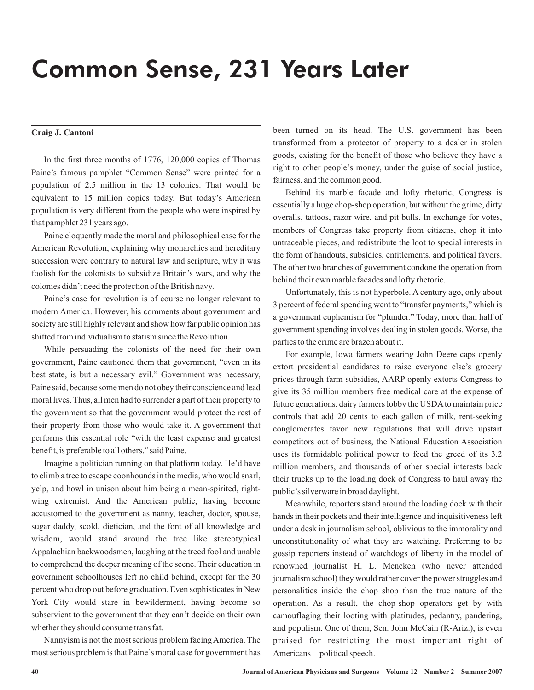## Common Sense, 231 Years Later

## **Craig J. Cantoni**

In the first three months of 1776, 120,000 copies of Thomas Paine's famous pamphlet "Common Sense" were printed for a population of 2.5 million in the 13 colonies. That would be equivalent to 15 million copies today. But today's American population is very different from the people who were inspired by that pamphlet 231 years ago.

Paine eloquently made the moral and philosophical case for the American Revolution, explaining why monarchies and hereditary succession were contrary to natural law and scripture, why it was foolish for the colonists to subsidize Britain's wars, and why the colonies didn't need the protection of the British navy.

Paine's case for revolution is of course no longer relevant to modern America. However, his comments about government and society are still highly relevant and show how far public opinion has shifted from individualism to statism since the Revolution.

While persuading the colonists of the need for their own government, Paine cautioned them that government, "even in its best state, is but a necessary evil." Government was necessary, Paine said, because some men do not obey their conscience and lead moral lives. Thus, all men had to surrender a part of their property to the government so that the government would protect the rest of their property from those who would take it. A government that performs this essential role "with the least expense and greatest benefit, is preferable to all others," said Paine.

Imagine a politician running on that platform today. He'd have to climb a tree to escape coonhounds in the media, who would snarl, yelp, and howl in unison about him being a mean-spirited, rightwing extremist. And the American public, having become accustomed to the government as nanny, teacher, doctor, spouse, sugar daddy, scold, dietician, and the font of all knowledge and wisdom, would stand around the tree like stereotypical Appalachian backwoodsmen, laughing at the treed fool and unable to comprehend the deeper meaning of the scene. Their education in government schoolhouses left no child behind, except for the 30 percent who drop out before graduation. Even sophisticates in New York City would stare in bewilderment, having become so subservient to the government that they can't decide on their own whether they should consume trans fat.

Nannyism is not the most serious problem facingAmerica. The most serious problem is that Paine's moral case for government has been turned on its head. The U.S. government has been transformed from a protector of property to a dealer in stolen goods, existing for the benefit of those who believe they have a right to other people's money, under the guise of social justice, fairness, and the common good.

Behind its marble facade and lofty rhetoric, Congress is essentially a huge chop-shop operation, but without the grime, dirty overalls, tattoos, razor wire, and pit bulls. In exchange for votes, members of Congress take property from citizens, chop it into untraceable pieces, and redistribute the loot to special interests in the form of handouts, subsidies, entitlements, and political favors. The other two branches of government condone the operation from behind their own marble facades and lofty rhetoric.

Unfortunately, this is not hyperbole. A century ago, only about 3 percent of federal spending went to "transfer payments," which is a government euphemism for "plunder." Today, more than half of government spending involves dealing in stolen goods. Worse, the parties to the crime are brazen about it.

For example, Iowa farmers wearing John Deere caps openly extort presidential candidates to raise everyone else's grocery prices through farm subsidies, AARP openly extorts Congress to give its 35 million members free medical care at the expense of future generations, dairy farmers lobby the USDA to maintain price controls that add 20 cents to each gallon of milk, rent-seeking conglomerates favor new regulations that will drive upstart competitors out of business, the National Education Association uses its formidable political power to feed the greed of its 3.2 million members, and thousands of other special interests back their trucks up to the loading dock of Congress to haul away the public's silverware in broad daylight.

Meanwhile, reporters stand around the loading dock with their hands in their pockets and their intelligence and inquisitiveness left under a desk in journalism school, oblivious to the immorality and unconstitutionality of what they are watching. Preferring to be gossip reporters instead of watchdogs of liberty in the model of renowned journalist H. L. Mencken (who never attended journalism school) they would rather cover the power struggles and personalities inside the chop shop than the true nature of the operation. As a result, the chop-shop operators get by with camouflaging their looting with platitudes, pedantry, pandering, and populism. One of them, Sen. John McCain (R-Ariz.), is even praised for restricting the most important right of Americans—political speech.